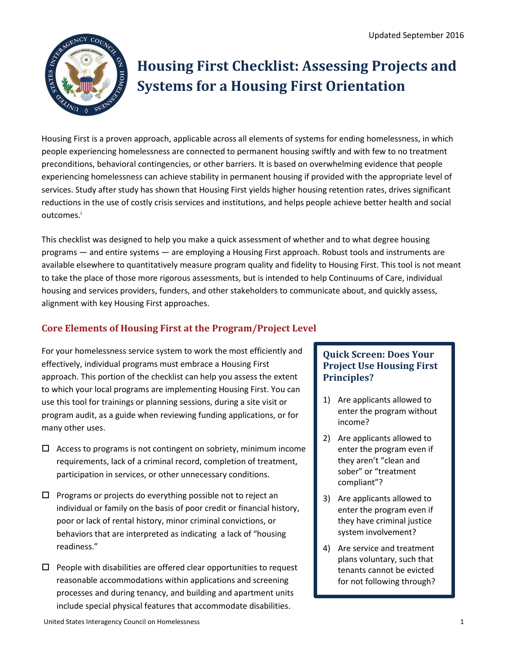

# **Housing First Checklist: Assessing Projects and Systems for a Housing First Orientation**

Housing First is a proven approach, applicable across all elements of systems for ending homelessness, in which people experiencing homelessness are connected to permanent housing swiftly and with few to no treatment preconditions, behavioral contingencies, or other barriers. It is based on overwhelming evidence that people experiencing homelessness can achieve stability in permanent housing if provided with the appropriate level of services. Study after study has shown that Housing First yields higher housing retention rates, drives significant reductions in the use of costly crisis services and institutions, and helps people achieve better health and social outcomes.<sup>i</sup>

This checklist was designed to help you make a quick assessment of whether and to what degree housing programs — and entire systems — are employing a Housing First approach. Robust tools and instruments are available elsewhere to quantitatively measure program quality and fidelity to Housing First. This tool is not meant to take the place of those more rigorous assessments, but is intended to help Continuums of Care, individual housing and services providers, funders, and other stakeholders to communicate about, and quickly assess, alignment with key Housing First approaches.

## **Core Elements of Housing First at the Program/Project Level**

For your homelessness service system to work the most efficiently and effectively, individual programs must embrace a Housing First approach. This portion of the checklist can help you assess the extent to which your local programs are implementing Housing First. You can use this tool for trainings or planning sessions, during a site visit or program audit, as a guide when reviewing funding applications, or for many other uses.

- $\Box$  Access to programs is not contingent on sobriety, minimum income requirements, lack of a criminal record, completion of treatment, participation in services, or other unnecessary conditions.
- $\square$  Programs or projects do everything possible not to reject an individual or family on the basis of poor credit or financial history, poor or lack of rental history, minor criminal convictions, or behaviors that are interpreted as indicating a lack of "housing readiness."
- $\Box$  People with disabilities are offered clear opportunities to request reasonable accommodations within applications and screening processes and during tenancy, and building and apartment units include special physical features that accommodate disabilities.

### **Quick Screen: Does Your Project Use Housing First Principles?**

- 1) Are applicants allowed to enter the program without income?
- 2) Are applicants allowed to enter the program even if they aren't "clean and sober" or "treatment compliant"?
- 3) Are applicants allowed to enter the program even if they have criminal justice system involvement?
- 4) Are service and treatment plans voluntary, such that tenants cannot be evicted for not following through?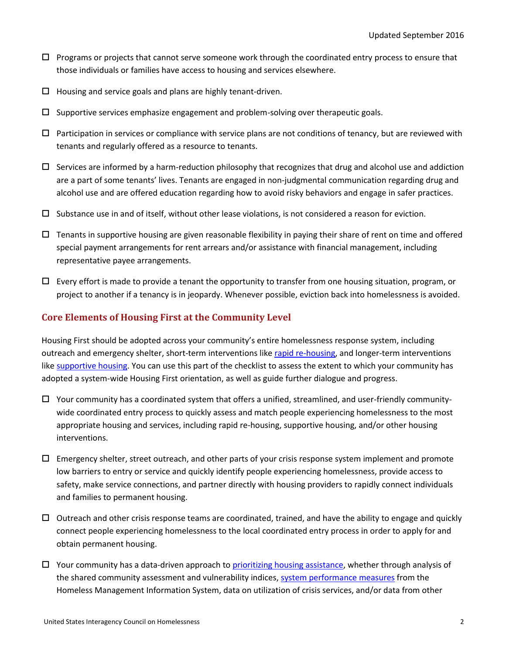- Programs or projects that cannot serve someone work through the coordinated entry process to ensure that those individuals or families have access to housing and services elsewhere.
- $\Box$  Housing and service goals and plans are highly tenant-driven.
- $\square$  Supportive services emphasize engagement and problem-solving over therapeutic goals.
- $\Box$  Participation in services or compliance with service plans are not conditions of tenancy, but are reviewed with tenants and regularly offered as a resource to tenants.
- $\Box$  Services are informed by a harm-reduction philosophy that recognizes that drug and alcohol use and addiction are a part of some tenants' lives. Tenants are engaged in non-judgmental communication regarding drug and alcohol use and are offered education regarding how to avoid risky behaviors and engage in safer practices.
- $\Box$  Substance use in and of itself, without other lease violations, is not considered a reason for eviction.
- $\Box$  Tenants in supportive housing are given reasonable flexibility in paying their share of rent on time and offered special payment arrangements for rent arrears and/or assistance with financial management, including representative payee arrangements.
- $\Box$  Every effort is made to provide a tenant the opportunity to transfer from one housing situation, program, or project to another if a tenancy is in jeopardy. Whenever possible, eviction back into homelessness is avoided.

#### **Core Elements of Housing First at the Community Level**

Housing First should be adopted across your community's entire homelessness response system, including outreach and emergency shelter, short-term interventions like [rapid re-housing,](https://www.usich.gov/solutions/housing/rapid-re-housing) and longer-term interventions like [supportive housing.](https://www.usich.gov/solutions/housing/supportive-housing) You can use this part of the checklist to assess the extent to which your community has adopted a system-wide Housing First orientation, as well as guide further dialogue and progress.

- $\Box$  Your community has a coordinated system that offers a unified, streamlined, and user-friendly communitywide coordinated entry process to quickly assess and match people experiencing homelessness to the most appropriate housing and services, including rapid re-housing, supportive housing, and/or other housing interventions.
- $\Box$  Emergency shelter, street outreach, and other parts of your crisis response system implement and promote low barriers to entry or service and quickly identify people experiencing homelessness, provide access to safety, make service connections, and partner directly with housing providers to rapidly connect individuals and families to permanent housing.
- $\Box$  Outreach and other crisis response teams are coordinated, trained, and have the ability to engage and quickly connect people experiencing homelessness to the local coordinated entry process in order to apply for and obtain permanent housing.
- $\Box$  Your community has a data-driven approach to [prioritizing housing assistance,](http://portal.hud.gov/hudportal/documents/huddoc?id=14-12cpdn.pdf) whether through analysis of the shared community assessment and vulnerability indices, [system performance measures](https://www.hudexchange.info/programs/coc/system-performance-measures/) from the Homeless Management Information System, data on utilization of crisis services, and/or data from other